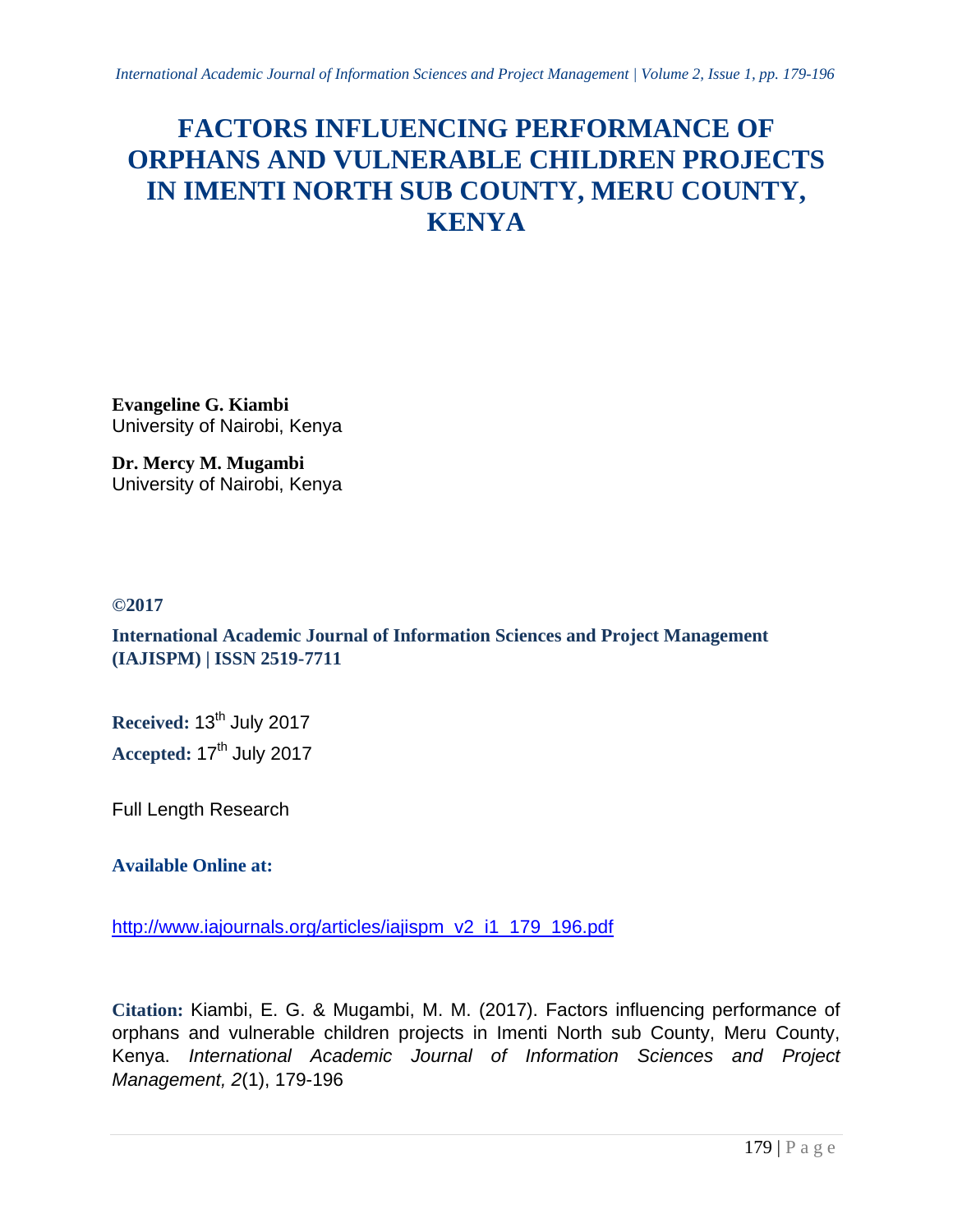# **FACTORS INFLUENCING PERFORMANCE OF ORPHANS AND VULNERABLE CHILDREN PROJECTS IN IMENTI NORTH SUB COUNTY, MERU COUNTY, KENYA**

**Evangeline G. Kiambi** University of Nairobi, Kenya

**Dr. Mercy M. Mugambi** University of Nairobi, Kenya

# **©2017**

**International Academic Journal of Information Sciences and Project Management (IAJISPM) | ISSN 2519-7711**

**Received: 13<sup>th</sup> July 2017** Accepted: 17<sup>th</sup> July 2017

Full Length Research

**Available Online at:**

[http://www.iajournals.org/articles/iajispm\\_v2\\_i1\\_179\\_196.pdf](http://www.iajournals.org/articles/iajispm_v2_i1_179_196.pdf)

**Citation:** Kiambi, E. G. & Mugambi, M. M. (2017). Factors influencing performance of orphans and vulnerable children projects in Imenti North sub County, Meru County, Kenya. *International Academic Journal of Information Sciences and Project Management, 2*(1), 179-196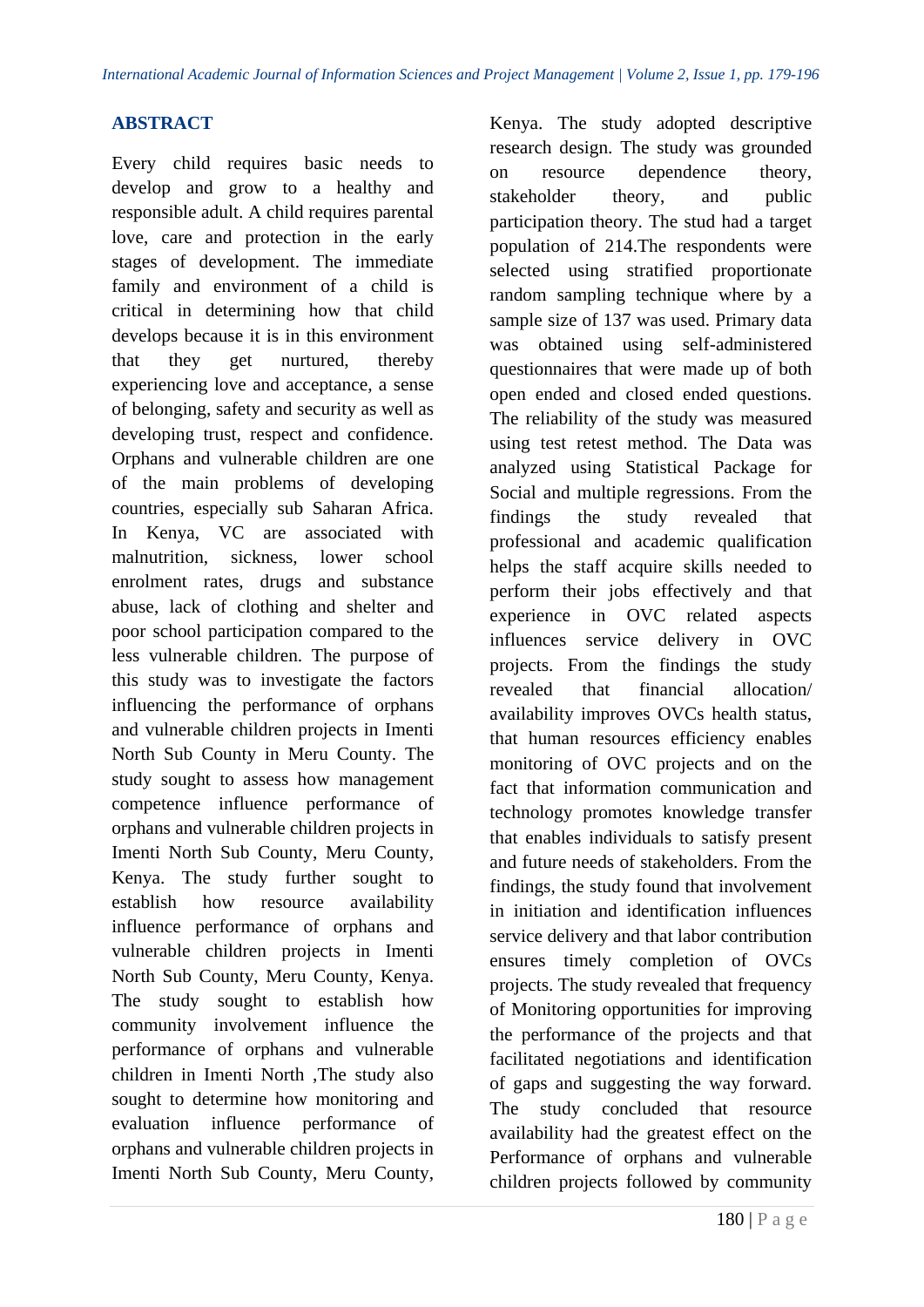# **ABSTRACT**

Every child requires basic needs to develop and grow to a healthy and responsible adult. A child requires parental love, care and protection in the early stages of development. The immediate family and environment of a child is critical in determining how that child develops because it is in this environment that they get nurtured, thereby experiencing love and acceptance, a sense of belonging, safety and security as well as developing trust, respect and confidence. Orphans and vulnerable children are one of the main problems of developing countries, especially sub Saharan Africa. In Kenya, VC are associated with malnutrition, sickness, lower school enrolment rates, drugs and substance abuse, lack of clothing and shelter and poor school participation compared to the less vulnerable children. The purpose of this study was to investigate the factors influencing the performance of orphans and vulnerable children projects in Imenti North Sub County in Meru County. The study sought to assess how management competence influence performance of orphans and vulnerable children projects in Imenti North Sub County, Meru County, Kenya. The study further sought to establish how resource availability influence performance of orphans and vulnerable children projects in Imenti North Sub County, Meru County, Kenya. The study sought to establish how community involvement influence the performance of orphans and vulnerable children in Imenti North ,The study also sought to determine how monitoring and evaluation influence performance of orphans and vulnerable children projects in Imenti North Sub County, Meru County,

Kenya. The study adopted descriptive research design. The study was grounded on resource dependence theory, stakeholder theory, and public participation theory. The stud had a target population of 214.The respondents were selected using stratified proportionate random sampling technique where by a sample size of 137 was used. Primary data was obtained using self-administered questionnaires that were made up of both open ended and closed ended questions. The reliability of the study was measured using test retest method. The Data was analyzed using Statistical Package for Social and multiple regressions. From the findings the study revealed that professional and academic qualification helps the staff acquire skills needed to perform their jobs effectively and that experience in OVC related aspects influences service delivery in OVC projects. From the findings the study revealed that financial allocation/ availability improves OVCs health status, that human resources efficiency enables monitoring of OVC projects and on the fact that information communication and technology promotes knowledge transfer that enables individuals to satisfy present and future needs of stakeholders. From the findings, the study found that involvement in initiation and identification influences service delivery and that labor contribution ensures timely completion of OVCs projects. The study revealed that frequency of Monitoring opportunities for improving the performance of the projects and that facilitated negotiations and identification of gaps and suggesting the way forward. The study concluded that resource availability had the greatest effect on the Performance of orphans and vulnerable children projects followed by community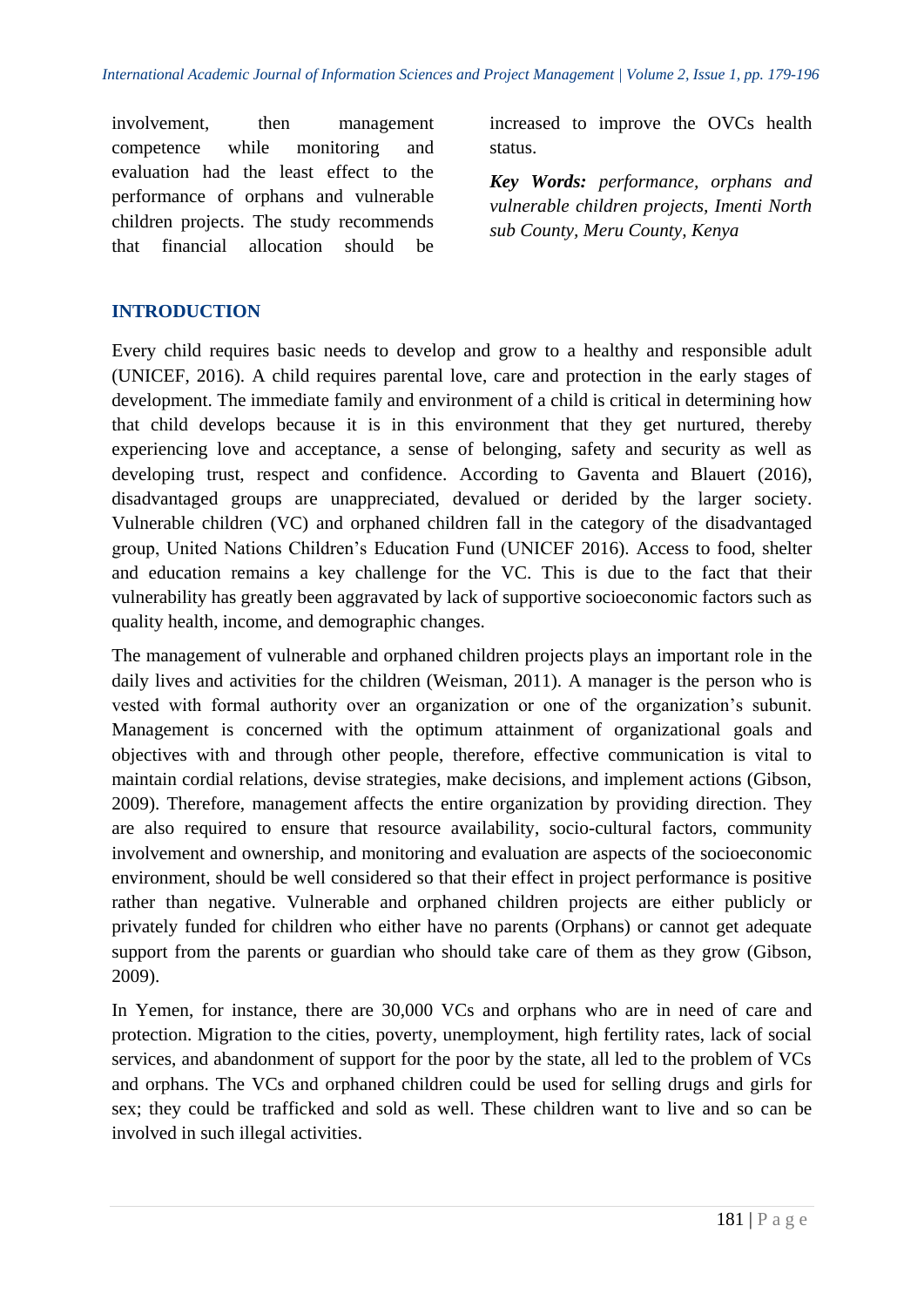involvement, then management competence while monitoring and evaluation had the least effect to the performance of orphans and vulnerable children projects. The study recommends that financial allocation should be

increased to improve the OVCs health status.

*Key Words: performance, orphans and vulnerable children projects, Imenti North sub County, Meru County, Kenya*

## **INTRODUCTION**

Every child requires basic needs to develop and grow to a healthy and responsible adult (UNICEF, 2016). A child requires parental love, care and protection in the early stages of development. The immediate family and environment of a child is critical in determining how that child develops because it is in this environment that they get nurtured, thereby experiencing love and acceptance, a sense of belonging, safety and security as well as developing trust, respect and confidence. According to Gaventa and Blauert (2016), disadvantaged groups are unappreciated, devalued or derided by the larger society. Vulnerable children (VC) and orphaned children fall in the category of the disadvantaged group, United Nations Children's Education Fund (UNICEF 2016). Access to food, shelter and education remains a key challenge for the VC. This is due to the fact that their vulnerability has greatly been aggravated by lack of supportive socioeconomic factors such as quality health, income, and demographic changes.

The management of vulnerable and orphaned children projects plays an important role in the daily lives and activities for the children (Weisman, 2011). A manager is the person who is vested with formal authority over an organization or one of the organization's subunit. Management is concerned with the optimum attainment of organizational goals and objectives with and through other people, therefore, effective communication is vital to maintain cordial relations, devise strategies, make decisions, and implement actions (Gibson, 2009). Therefore, management affects the entire organization by providing direction. They are also required to ensure that resource availability, socio-cultural factors, community involvement and ownership, and monitoring and evaluation are aspects of the socioeconomic environment, should be well considered so that their effect in project performance is positive rather than negative. Vulnerable and orphaned children projects are either publicly or privately funded for children who either have no parents (Orphans) or cannot get adequate support from the parents or guardian who should take care of them as they grow (Gibson, 2009).

In Yemen, for instance, there are 30,000 VCs and orphans who are in need of care and protection. Migration to the cities, poverty, unemployment, high fertility rates, lack of social services, and abandonment of support for the poor by the state, all led to the problem of VCs and orphans. The VCs and orphaned children could be used for selling drugs and girls for sex; they could be trafficked and sold as well. These children want to live and so can be involved in such illegal activities.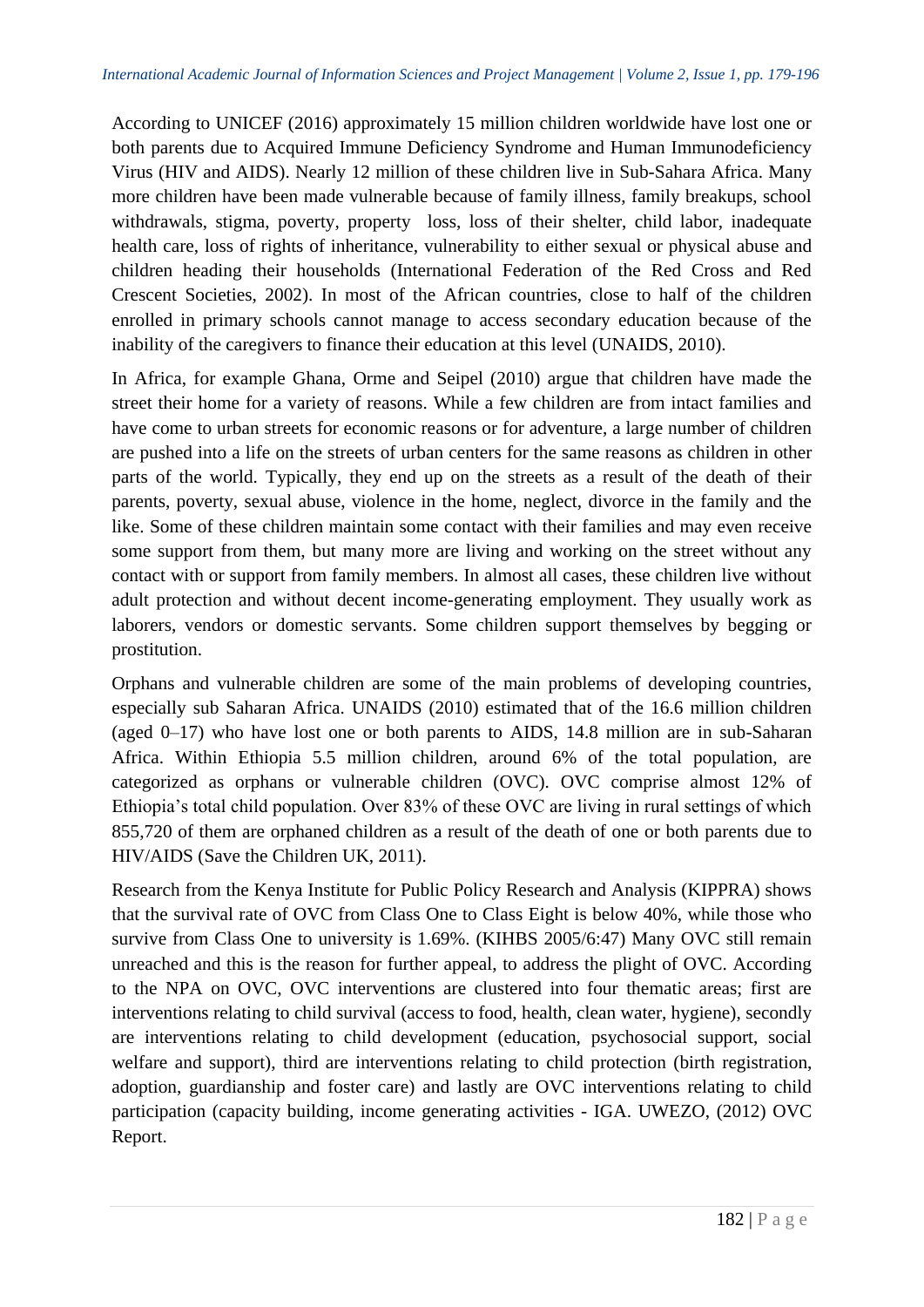According to UNICEF (2016) approximately 15 million children worldwide have lost one or both parents due to Acquired Immune Deficiency Syndrome and Human Immunodeficiency Virus (HIV and AIDS). Nearly 12 million of these children live in Sub-Sahara Africa. Many more children have been made vulnerable because of family illness, family breakups, school withdrawals, stigma, poverty, property loss, loss of their shelter, child labor, inadequate health care, loss of rights of inheritance, vulnerability to either sexual or physical abuse and children heading their households (International Federation of the Red Cross and Red Crescent Societies, 2002). In most of the African countries, close to half of the children enrolled in primary schools cannot manage to access secondary education because of the inability of the caregivers to finance their education at this level (UNAIDS, 2010).

In Africa, for example Ghana, Orme and Seipel (2010) argue that children have made the street their home for a variety of reasons. While a few children are from intact families and have come to urban streets for economic reasons or for adventure, a large number of children are pushed into a life on the streets of urban centers for the same reasons as children in other parts of the world. Typically, they end up on the streets as a result of the death of their parents, poverty, sexual abuse, violence in the home, neglect, divorce in the family and the like. Some of these children maintain some contact with their families and may even receive some support from them, but many more are living and working on the street without any contact with or support from family members. In almost all cases, these children live without adult protection and without decent income-generating employment. They usually work as laborers, vendors or domestic servants. Some children support themselves by begging or prostitution.

Orphans and vulnerable children are some of the main problems of developing countries, especially sub Saharan Africa. UNAIDS (2010) estimated that of the 16.6 million children (aged 0–17) who have lost one or both parents to AIDS, 14.8 million are in sub-Saharan Africa. Within Ethiopia 5.5 million children, around 6% of the total population, are categorized as orphans or vulnerable children (OVC). OVC comprise almost 12% of Ethiopia's total child population. Over 83% of these OVC are living in rural settings of which 855,720 of them are orphaned children as a result of the death of one or both parents due to HIV/AIDS (Save the Children UK, 2011).

Research from the Kenya Institute for Public Policy Research and Analysis (KIPPRA) shows that the survival rate of OVC from Class One to Class Eight is below 40%, while those who survive from Class One to university is 1.69%. (KIHBS 2005/6:47) Many OVC still remain unreached and this is the reason for further appeal, to address the plight of OVC. According to the NPA on OVC, OVC interventions are clustered into four thematic areas; first are interventions relating to child survival (access to food, health, clean water, hygiene), secondly are interventions relating to child development (education, psychosocial support, social welfare and support), third are interventions relating to child protection (birth registration, adoption, guardianship and foster care) and lastly are OVC interventions relating to child participation (capacity building, income generating activities - IGA. UWEZO, (2012) OVC Report.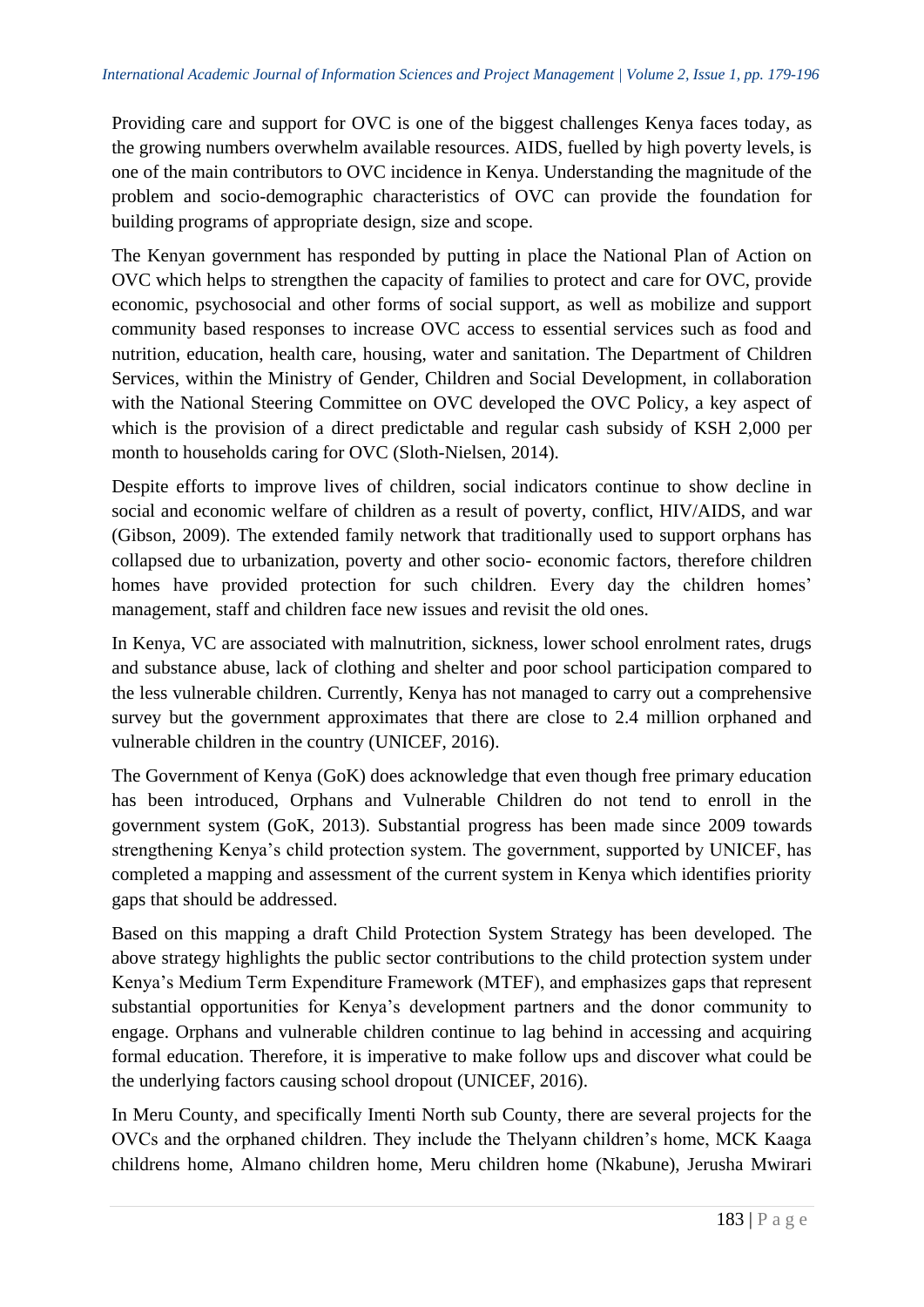Providing care and support for OVC is one of the biggest challenges Kenya faces today, as the growing numbers overwhelm available resources. AIDS, fuelled by high poverty levels, is one of the main contributors to OVC incidence in Kenya. Understanding the magnitude of the problem and socio-demographic characteristics of OVC can provide the foundation for building programs of appropriate design, size and scope.

The Kenyan government has responded by putting in place the National Plan of Action on OVC which helps to strengthen the capacity of families to protect and care for OVC, provide economic, psychosocial and other forms of social support, as well as mobilize and support community based responses to increase OVC access to essential services such as food and nutrition, education, health care, housing, water and sanitation. The Department of Children Services, within the Ministry of Gender, Children and Social Development, in collaboration with the National Steering Committee on OVC developed the OVC Policy, a key aspect of which is the provision of a direct predictable and regular cash subsidy of KSH 2,000 per month to households caring for OVC (Sloth-Nielsen, 2014).

Despite efforts to improve lives of children, social indicators continue to show decline in social and economic welfare of children as a result of poverty, conflict, HIV/AIDS, and war (Gibson, 2009). The extended family network that traditionally used to support orphans has collapsed due to urbanization, poverty and other socio- economic factors, therefore children homes have provided protection for such children. Every day the children homes' management, staff and children face new issues and revisit the old ones.

In Kenya, VC are associated with malnutrition, sickness, lower school enrolment rates, drugs and substance abuse, lack of clothing and shelter and poor school participation compared to the less vulnerable children. Currently, Kenya has not managed to carry out a comprehensive survey but the government approximates that there are close to 2.4 million orphaned and vulnerable children in the country (UNICEF, 2016).

The Government of Kenya (GoK) does acknowledge that even though free primary education has been introduced, Orphans and Vulnerable Children do not tend to enroll in the government system (GoK, 2013). Substantial progress has been made since 2009 towards strengthening Kenya's child protection system. The government, supported by UNICEF, has completed a mapping and assessment of the current system in Kenya which identifies priority gaps that should be addressed.

Based on this mapping a draft Child Protection System Strategy has been developed. The above strategy highlights the public sector contributions to the child protection system under Kenya's Medium Term Expenditure Framework (MTEF), and emphasizes gaps that represent substantial opportunities for Kenya's development partners and the donor community to engage. Orphans and vulnerable children continue to lag behind in accessing and acquiring formal education. Therefore, it is imperative to make follow ups and discover what could be the underlying factors causing school dropout (UNICEF, 2016).

In Meru County, and specifically Imenti North sub County, there are several projects for the OVCs and the orphaned children. They include the Thelyann children's home, MCK Kaaga childrens home, Almano children home, Meru children home (Nkabune), Jerusha Mwirari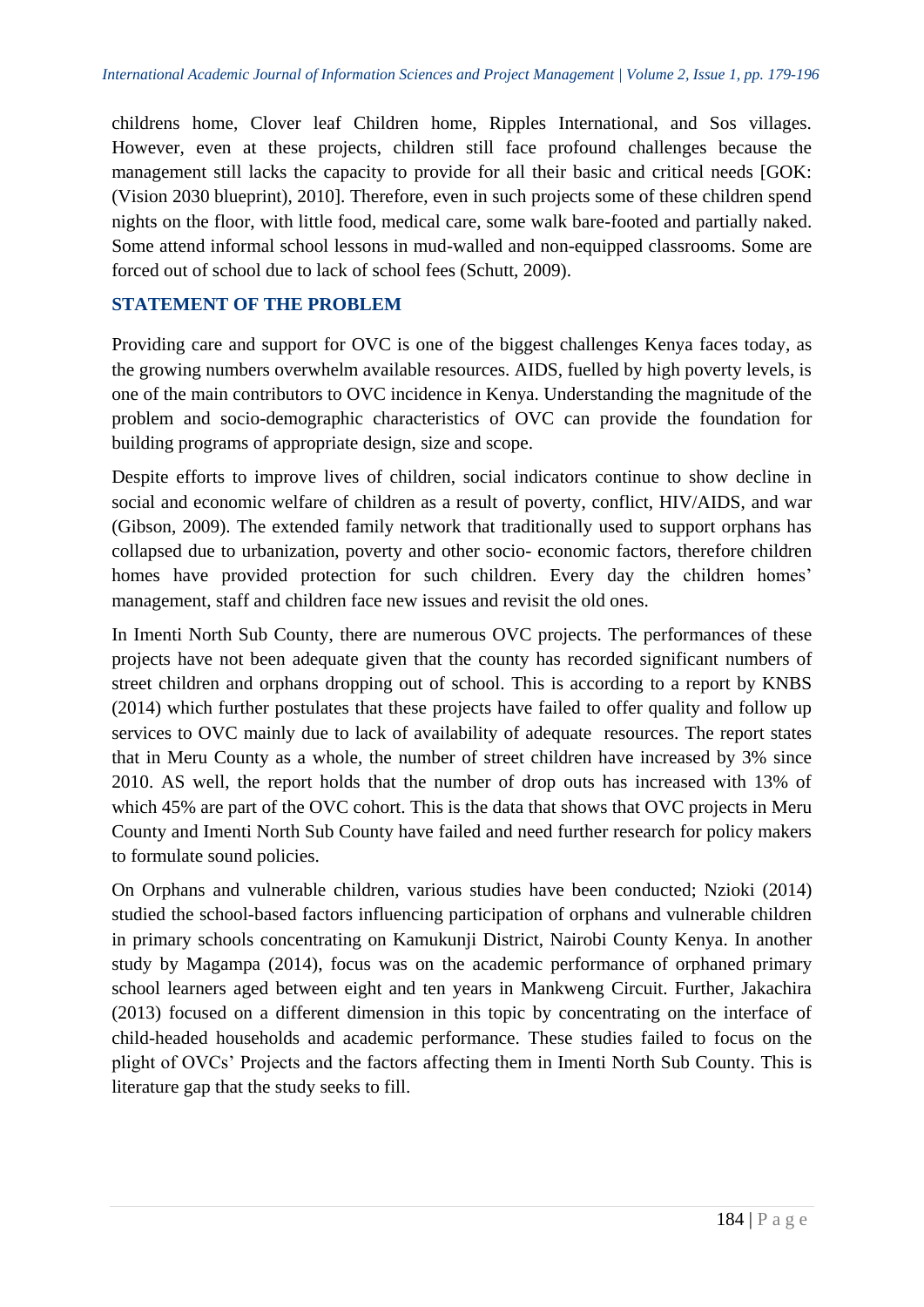childrens home, Clover leaf Children home, Ripples International, and Sos villages. However, even at these projects, children still face profound challenges because the management still lacks the capacity to provide for all their basic and critical needs [GOK: (Vision 2030 blueprint), 2010]. Therefore, even in such projects some of these children spend nights on the floor, with little food, medical care, some walk bare-footed and partially naked. Some attend informal school lessons in mud-walled and non-equipped classrooms. Some are forced out of school due to lack of school fees (Schutt, 2009).

# **STATEMENT OF THE PROBLEM**

Providing care and support for OVC is one of the biggest challenges Kenya faces today, as the growing numbers overwhelm available resources. AIDS, fuelled by high poverty levels, is one of the main contributors to OVC incidence in Kenya. Understanding the magnitude of the problem and socio-demographic characteristics of OVC can provide the foundation for building programs of appropriate design, size and scope.

Despite efforts to improve lives of children, social indicators continue to show decline in social and economic welfare of children as a result of poverty, conflict, HIV/AIDS, and war (Gibson, 2009). The extended family network that traditionally used to support orphans has collapsed due to urbanization, poverty and other socio- economic factors, therefore children homes have provided protection for such children. Every day the children homes' management, staff and children face new issues and revisit the old ones.

In Imenti North Sub County, there are numerous OVC projects. The performances of these projects have not been adequate given that the county has recorded significant numbers of street children and orphans dropping out of school. This is according to a report by KNBS (2014) which further postulates that these projects have failed to offer quality and follow up services to OVC mainly due to lack of availability of adequate resources. The report states that in Meru County as a whole, the number of street children have increased by 3% since 2010. AS well, the report holds that the number of drop outs has increased with 13% of which 45% are part of the OVC cohort. This is the data that shows that OVC projects in Meru County and Imenti North Sub County have failed and need further research for policy makers to formulate sound policies.

On Orphans and vulnerable children, various studies have been conducted; Nzioki (2014) studied the school-based factors influencing participation of orphans and vulnerable children in primary schools concentrating on Kamukunji District, Nairobi County Kenya. In another study by Magampa (2014), focus was on the academic performance of orphaned primary school learners aged between eight and ten years in Mankweng Circuit. Further, Jakachira (2013) focused on a different dimension in this topic by concentrating on the interface of child-headed households and academic performance. These studies failed to focus on the plight of OVCs' Projects and the factors affecting them in Imenti North Sub County. This is literature gap that the study seeks to fill.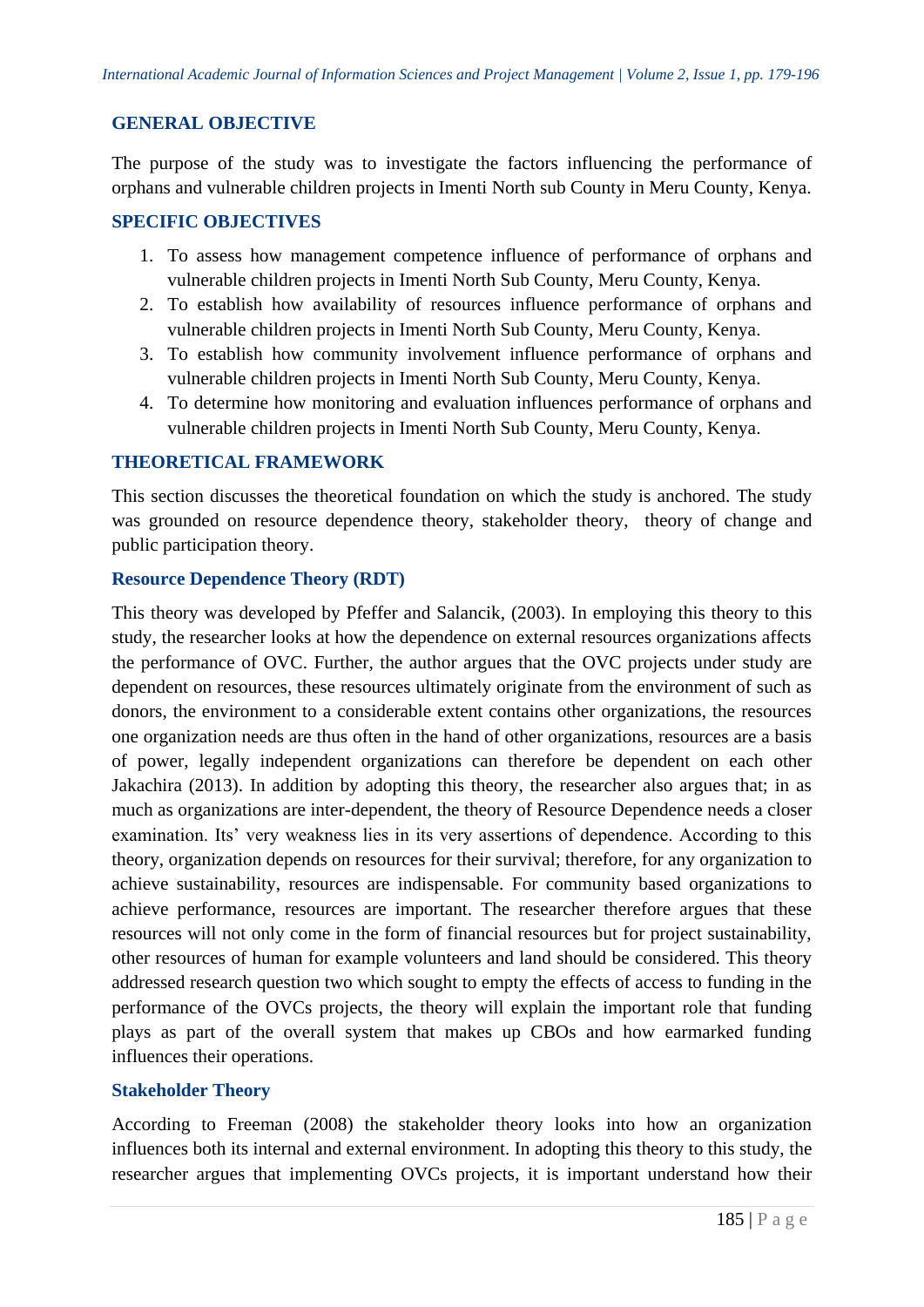## **GENERAL OBJECTIVE**

The purpose of the study was to investigate the factors influencing the performance of orphans and vulnerable children projects in Imenti North sub County in Meru County, Kenya.

## **SPECIFIC OBJECTIVES**

- 1. To assess how management competence influence of performance of orphans and vulnerable children projects in Imenti North Sub County, Meru County, Kenya.
- 2. To establish how availability of resources influence performance of orphans and vulnerable children projects in Imenti North Sub County, Meru County, Kenya.
- 3. To establish how community involvement influence performance of orphans and vulnerable children projects in Imenti North Sub County, Meru County, Kenya.
- 4. To determine how monitoring and evaluation influences performance of orphans and vulnerable children projects in Imenti North Sub County, Meru County, Kenya.

## **THEORETICAL FRAMEWORK**

This section discusses the theoretical foundation on which the study is anchored. The study was grounded on resource dependence theory, stakeholder theory, theory of change and public participation theory.

## **Resource Dependence Theory (RDT)**

This theory was developed by Pfeffer and Salancik, (2003). In employing this theory to this study, the researcher looks at how the dependence on external resources organizations affects the performance of OVC. Further, the author argues that the OVC projects under study are dependent on resources, these resources ultimately originate from the environment of such as donors, the environment to a considerable extent contains other organizations, the resources one organization needs are thus often in the hand of other organizations, resources are a basis of power, legally independent organizations can therefore be dependent on each other Jakachira (2013). In addition by adopting this theory, the researcher also argues that; in as much as organizations are inter-dependent, the theory of Resource Dependence needs a closer examination. Its' very weakness lies in its very assertions of dependence. According to this theory, organization depends on resources for their survival; therefore, for any organization to achieve sustainability, resources are indispensable. For community based organizations to achieve performance, resources are important. The researcher therefore argues that these resources will not only come in the form of financial resources but for project sustainability, other resources of human for example volunteers and land should be considered. This theory addressed research question two which sought to empty the effects of access to funding in the performance of the OVCs projects, the theory will explain the important role that funding plays as part of the overall system that makes up CBOs and how earmarked funding influences their operations.

## **Stakeholder Theory**

According to Freeman (2008) the stakeholder theory looks into how an organization influences both its internal and external environment. In adopting this theory to this study, the researcher argues that implementing OVCs projects, it is important understand how their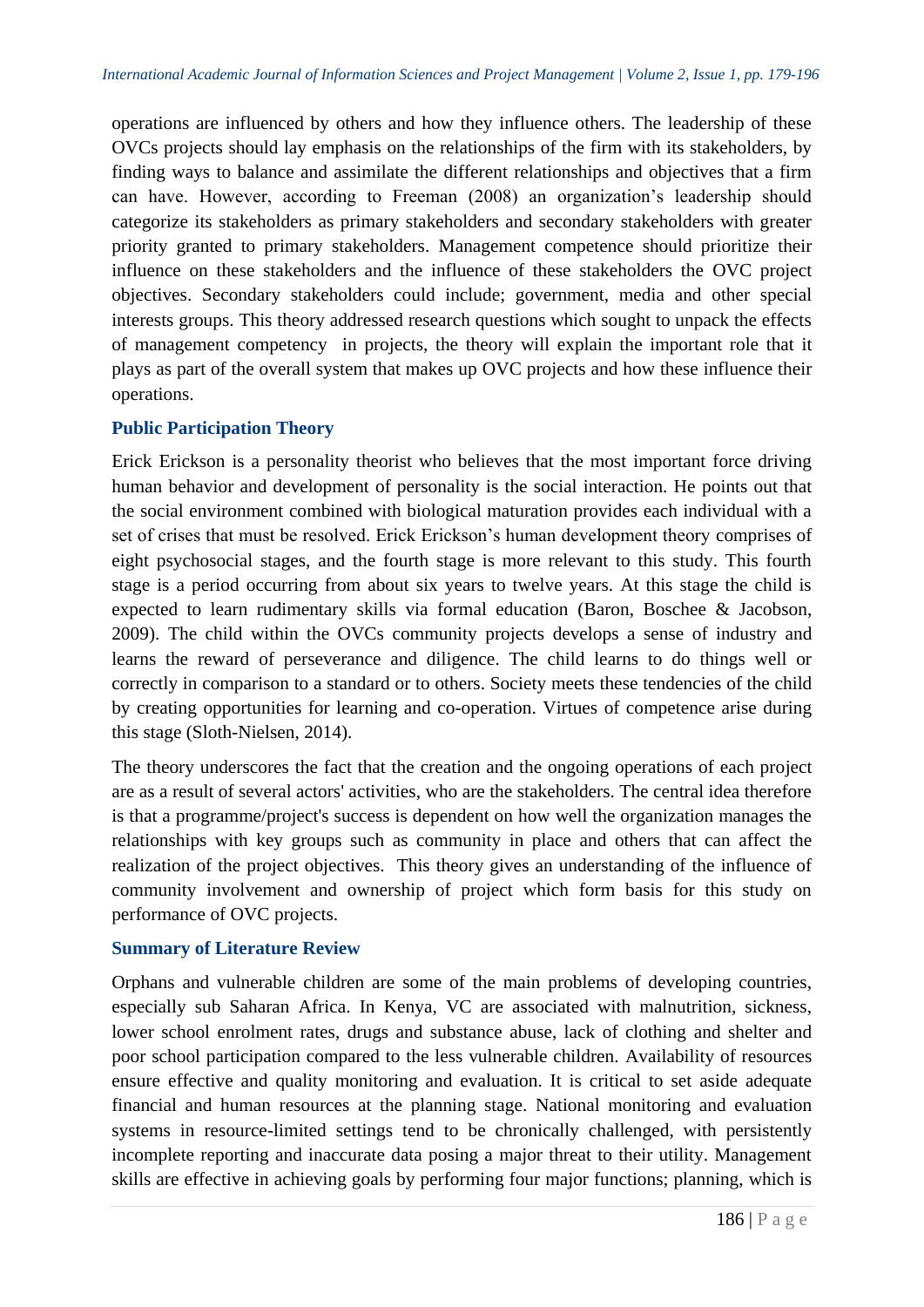operations are influenced by others and how they influence others. The leadership of these OVCs projects should lay emphasis on the relationships of the firm with its stakeholders, by finding ways to balance and assimilate the different relationships and objectives that a firm can have. However, according to Freeman (2008) an organization's leadership should categorize its stakeholders as primary stakeholders and secondary stakeholders with greater priority granted to primary stakeholders. Management competence should prioritize their influence on these stakeholders and the influence of these stakeholders the OVC project objectives. Secondary stakeholders could include; government, media and other special interests groups. This theory addressed research questions which sought to unpack the effects of management competency in projects, the theory will explain the important role that it plays as part of the overall system that makes up OVC projects and how these influence their operations.

# **Public Participation Theory**

Erick Erickson is a personality theorist who believes that the most important force driving human behavior and development of personality is the social interaction. He points out that the social environment combined with biological maturation provides each individual with a set of crises that must be resolved. Erick Erickson's human development theory comprises of eight psychosocial stages, and the fourth stage is more relevant to this study. This fourth stage is a period occurring from about six years to twelve years. At this stage the child is expected to learn rudimentary skills via formal education (Baron, Boschee & Jacobson, 2009). The child within the OVCs community projects develops a sense of industry and learns the reward of perseverance and diligence. The child learns to do things well or correctly in comparison to a standard or to others. Society meets these tendencies of the child by creating opportunities for learning and co-operation. Virtues of competence arise during this stage (Sloth-Nielsen, 2014).

The theory underscores the fact that the creation and the ongoing operations of each project are as a result of several actors' activities, who are the stakeholders. The central idea therefore is that a programme/project's success is dependent on how well the organization manages the relationships with key groups such as community in place and others that can affect the realization of the project objectives. This theory gives an understanding of the influence of community involvement and ownership of project which form basis for this study on performance of OVC projects.

# **Summary of Literature Review**

Orphans and vulnerable children are some of the main problems of developing countries, especially sub Saharan Africa. In Kenya, VC are associated with malnutrition, sickness, lower school enrolment rates, drugs and substance abuse, lack of clothing and shelter and poor school participation compared to the less vulnerable children. Availability of resources ensure effective and quality monitoring and evaluation. It is critical to set aside adequate financial and human resources at the planning stage. National monitoring and evaluation systems in resource-limited settings tend to be chronically challenged, with persistently incomplete reporting and inaccurate data posing a major threat to their utility. Management skills are effective in achieving goals by performing four major functions; planning, which is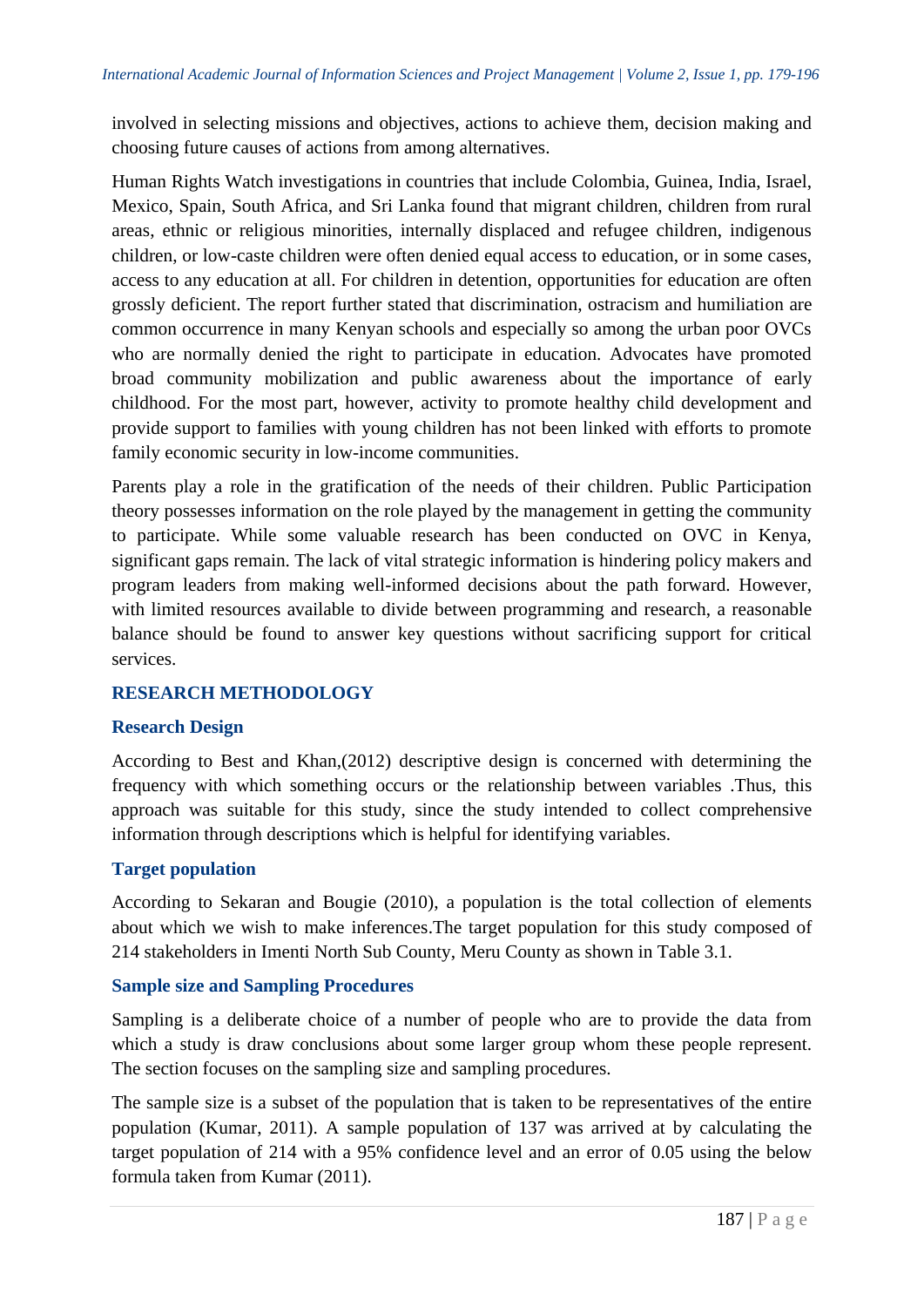involved in selecting missions and objectives, actions to achieve them, decision making and choosing future causes of actions from among alternatives.

Human Rights Watch investigations in countries that include Colombia, Guinea, India, Israel, Mexico, Spain, South Africa, and Sri Lanka found that migrant children, children from rural areas, ethnic or religious minorities, internally displaced and refugee children, indigenous children, or low-caste children were often denied equal access to education, or in some cases, access to any education at all. For children in detention, opportunities for education are often grossly deficient. The report further stated that discrimination, ostracism and humiliation are common occurrence in many Kenyan schools and especially so among the urban poor OVCs who are normally denied the right to participate in education. Advocates have promoted broad community mobilization and public awareness about the importance of early childhood. For the most part, however, activity to promote healthy child development and provide support to families with young children has not been linked with efforts to promote family economic security in low-income communities.

Parents play a role in the gratification of the needs of their children. Public Participation theory possesses information on the role played by the management in getting the community to participate. While some valuable research has been conducted on OVC in Kenya, significant gaps remain. The lack of vital strategic information is hindering policy makers and program leaders from making well-informed decisions about the path forward. However, with limited resources available to divide between programming and research, a reasonable balance should be found to answer key questions without sacrificing support for critical services.

# **RESEARCH METHODOLOGY**

# **Research Design**

According to Best and Khan,(2012) descriptive design is concerned with determining the frequency with which something occurs or the relationship between variables .Thus, this approach was suitable for this study, since the study intended to collect comprehensive information through descriptions which is helpful for identifying variables.

## **Target population**

According to Sekaran and Bougie (2010), a population is the total collection of elements about which we wish to make inferences.The target population for this study composed of 214 stakeholders in Imenti North Sub County, Meru County as shown in Table 3.1.

## **Sample size and Sampling Procedures**

Sampling is a deliberate choice of a number of people who are to provide the data from which a study is draw conclusions about some larger group whom these people represent. The section focuses on the sampling size and sampling procedures.

The sample size is a subset of the population that is taken to be representatives of the entire population (Kumar, 2011). A sample population of 137 was arrived at by calculating the target population of 214 with a 95% confidence level and an error of 0.05 using the below formula taken from Kumar (2011).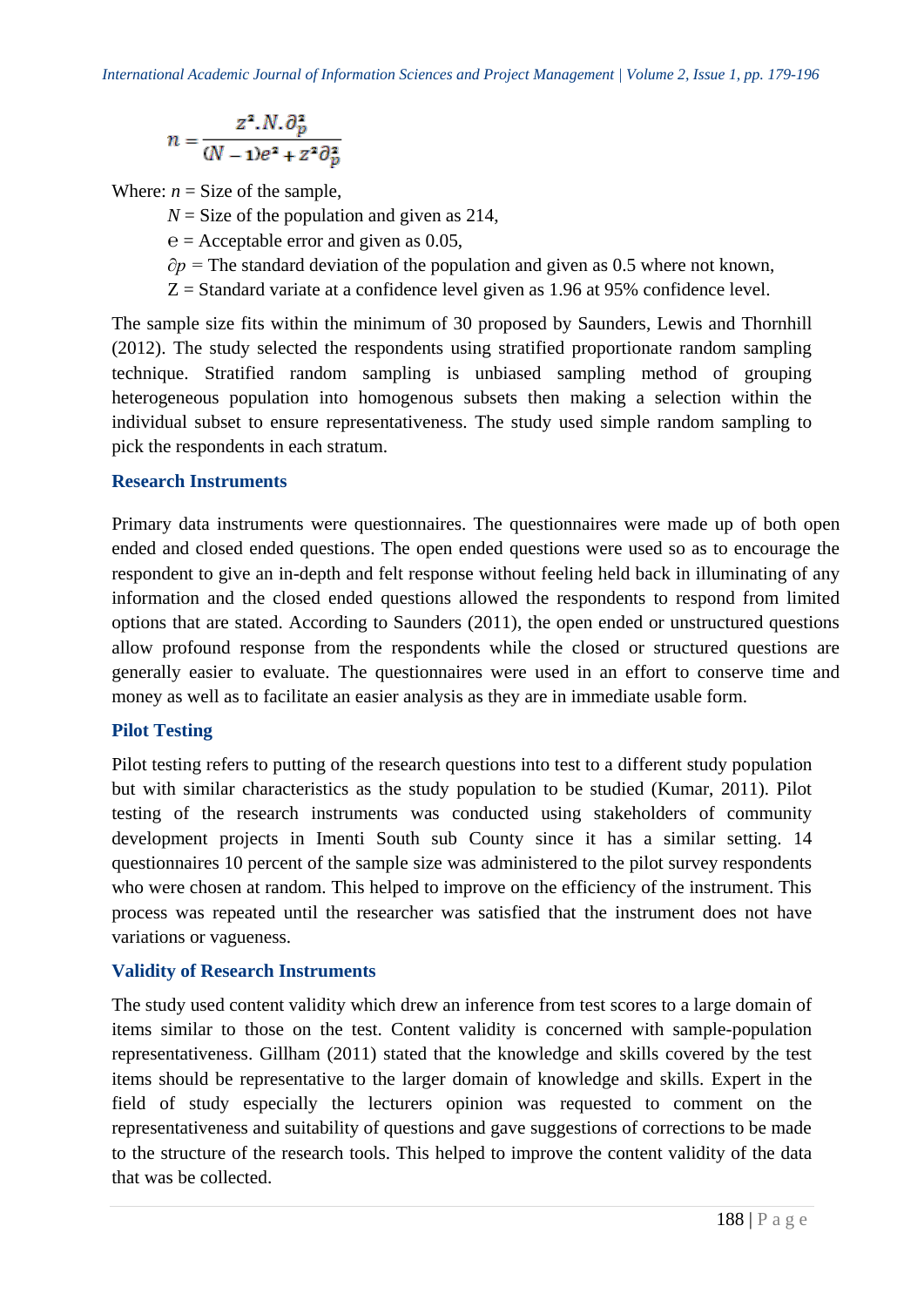$$
n=\frac{z^2.N.\partial_p^2}{(N-1)e^2+z^2\partial_p^2}
$$

Where:  $n =$  Size of the sample,

 $N =$  Size of the population and given as 214,

*℮* = Acceptable error and given as 0.05,

*∂p* = The standard deviation of the population and given as 0.5 where not known,

 $Z =$  Standard variate at a confidence level given as 1.96 at 95% confidence level.

The sample size fits within the minimum of 30 proposed by Saunders, Lewis and Thornhill (2012). The study selected the respondents using stratified proportionate random sampling technique. Stratified random sampling is unbiased sampling method of grouping heterogeneous population into homogenous subsets then making a selection within the individual subset to ensure representativeness. The study used simple random sampling to pick the respondents in each stratum.

## **Research Instruments**

Primary data instruments were questionnaires. The questionnaires were made up of both open ended and closed ended questions. The open ended questions were used so as to encourage the respondent to give an in-depth and felt response without feeling held back in illuminating of any information and the closed ended questions allowed the respondents to respond from limited options that are stated. According to Saunders (2011), the open ended or unstructured questions allow profound response from the respondents while the closed or structured questions are generally easier to evaluate. The questionnaires were used in an effort to conserve time and money as well as to facilitate an easier analysis as they are in immediate usable form.

## **Pilot Testing**

Pilot testing refers to putting of the research questions into test to a different study population but with similar characteristics as the study population to be studied (Kumar, 2011). Pilot testing of the research instruments was conducted using stakeholders of community development projects in Imenti South sub County since it has a similar setting. 14 questionnaires 10 percent of the sample size was administered to the pilot survey respondents who were chosen at random. This helped to improve on the efficiency of the instrument. This process was repeated until the researcher was satisfied that the instrument does not have variations or vagueness.

# **Validity of Research Instruments**

The study used content validity which drew an inference from test scores to a large domain of items similar to those on the test. Content validity is concerned with sample-population representativeness. Gillham (2011) stated that the knowledge and skills covered by the test items should be representative to the larger domain of knowledge and skills. Expert in the field of study especially the lecturers opinion was requested to comment on the representativeness and suitability of questions and gave suggestions of corrections to be made to the structure of the research tools. This helped to improve the content validity of the data that was be collected.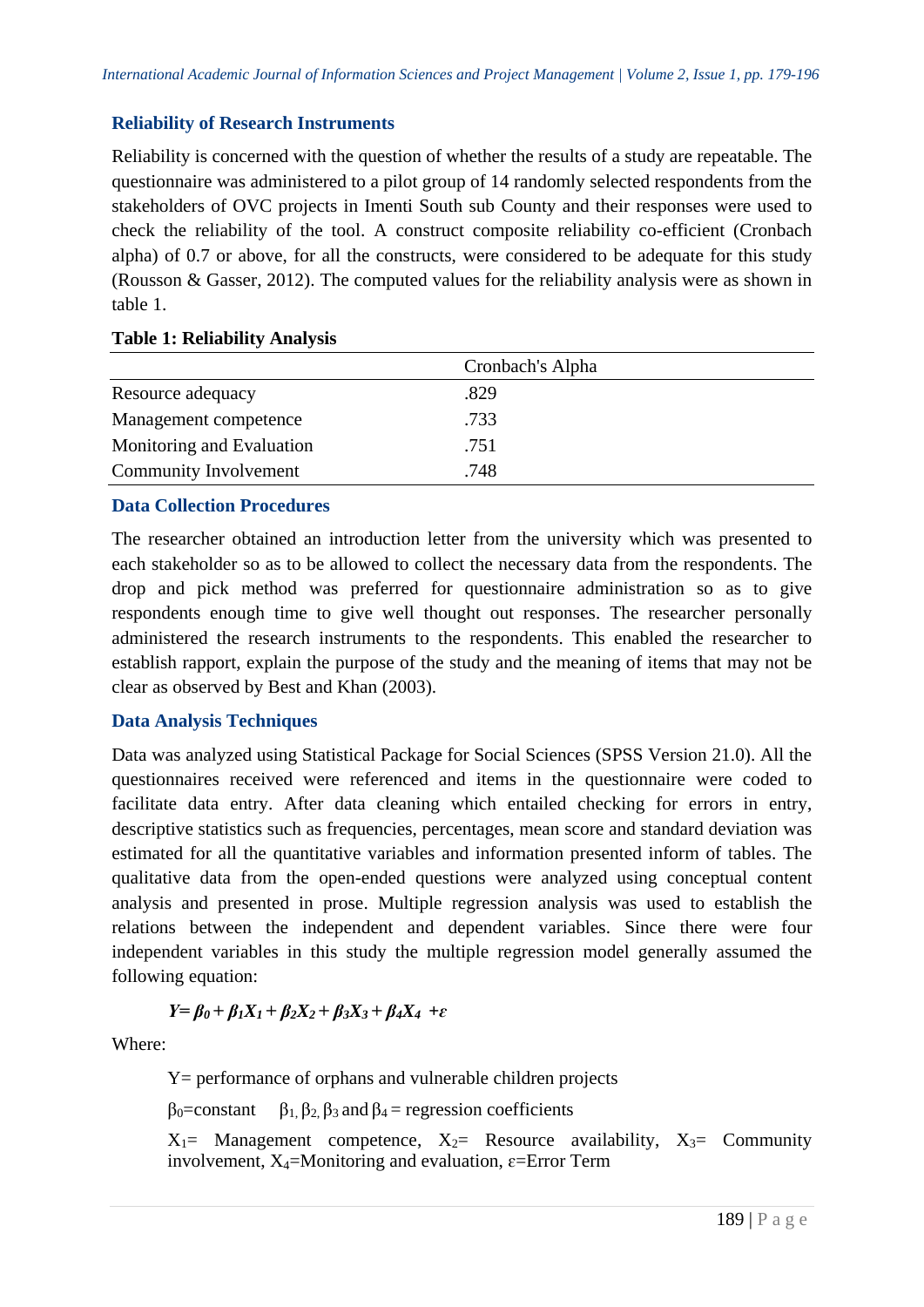# **Reliability of Research Instruments**

Reliability is concerned with the question of whether the results of a study are repeatable. The questionnaire was administered to a pilot group of 14 randomly selected respondents from the stakeholders of OVC projects in Imenti South sub County and their responses were used to check the reliability of the tool. A construct composite reliability co-efficient (Cronbach alpha) of 0.7 or above, for all the constructs, were considered to be adequate for this study (Rousson & Gasser, 2012). The computed values for the reliability analysis were as shown in table 1.

|                           | Cronbach's Alpha |  |  |
|---------------------------|------------------|--|--|
| Resource adequacy         | .829             |  |  |
| Management competence     | .733             |  |  |
| Monitoring and Evaluation | .751             |  |  |
| Community Involvement     | .748             |  |  |

## **Table 1: Reliability Analysis**

# **Data Collection Procedures**

The researcher obtained an introduction letter from the university which was presented to each stakeholder so as to be allowed to collect the necessary data from the respondents. The drop and pick method was preferred for questionnaire administration so as to give respondents enough time to give well thought out responses. The researcher personally administered the research instruments to the respondents. This enabled the researcher to establish rapport, explain the purpose of the study and the meaning of items that may not be clear as observed by Best and Khan (2003).

# **Data Analysis Techniques**

Data was analyzed using Statistical Package for Social Sciences (SPSS Version 21.0). All the questionnaires received were referenced and items in the questionnaire were coded to facilitate data entry. After data cleaning which entailed checking for errors in entry, descriptive statistics such as frequencies, percentages, mean score and standard deviation was estimated for all the quantitative variables and information presented inform of tables. The qualitative data from the open-ended questions were analyzed using conceptual content analysis and presented in prose. Multiple regression analysis was used to establish the relations between the independent and dependent variables. Since there were four independent variables in this study the multiple regression model generally assumed the following equation:

$$
Y = \beta_0 + \beta_1 X_1 + \beta_2 X_2 + \beta_3 X_3 + \beta_4 X_4 + \varepsilon
$$

Where:

Y= performance of orphans and vulnerable children projects

 $\beta_0$ =constant  $\beta_1$ ,  $\beta_2$ ,  $\beta_3$  and  $\beta_4$  = regression coefficients

 $X_1$ = Management competence,  $X_2$ = Resource availability,  $X_3$ = Community involvement,  $X_4$ =Monitoring and evaluation,  $\varepsilon$ =Error Term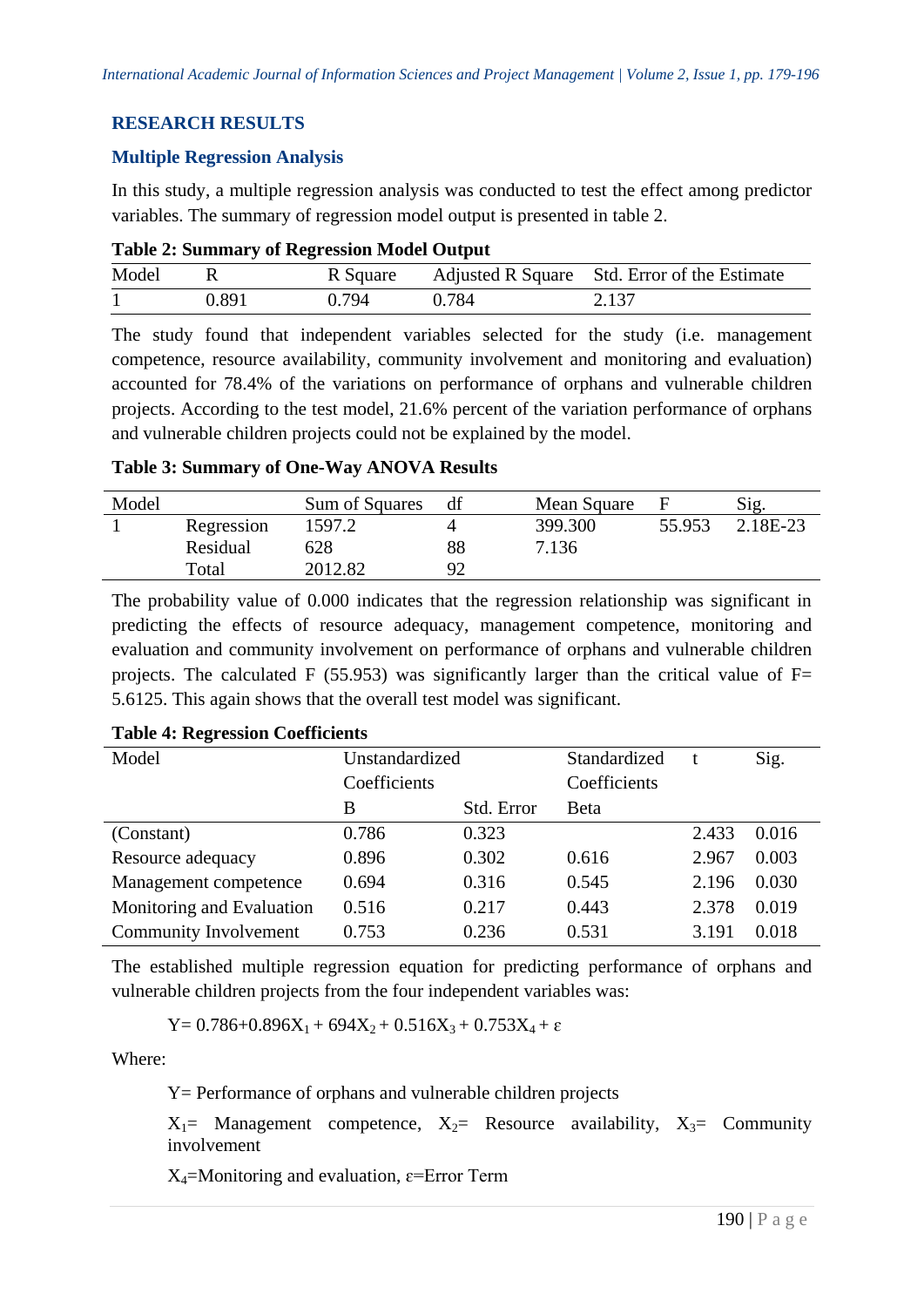# **RESEARCH RESULTS**

## **Multiple Regression Analysis**

In this study, a multiple regression analysis was conducted to test the effect among predictor variables. The summary of regression model output is presented in table 2.

|  | <b>Table 2: Summary of Regression Model Output</b> |  |
|--|----------------------------------------------------|--|
|  |                                                    |  |

| Model |       |       |       | R Square Adjusted R Square Std. Error of the Estimate |
|-------|-------|-------|-------|-------------------------------------------------------|
|       | 0.891 | 0.794 | 0.784 | 2.137                                                 |

The study found that independent variables selected for the study (i.e. management competence, resource availability, community involvement and monitoring and evaluation) accounted for 78.4% of the variations on performance of orphans and vulnerable children projects. According to the test model, 21.6% percent of the variation performance of orphans and vulnerable children projects could not be explained by the model.

## **Table 3: Summary of One-Way ANOVA Results**

| Model |            | Sum of Squares |    | Mean Square |        | Sig.     |
|-------|------------|----------------|----|-------------|--------|----------|
|       | Regression | 1597.2         |    | 399.300     | 55.953 | 2.18E-23 |
|       | Residual   | 628            | 88 | 7.136       |        |          |
|       | Total      | 2012.82        | QΩ |             |        |          |

The probability value of 0.000 indicates that the regression relationship was significant in predicting the effects of resource adequacy, management competence, monitoring and evaluation and community involvement on performance of orphans and vulnerable children projects. The calculated F (55.953) was significantly larger than the critical value of  $F=$ 5.6125. This again shows that the overall test model was significant.

## **Table 4: Regression Coefficients**

| Model                        | Unstandardized |            | Standardized |       | Sig.  |
|------------------------------|----------------|------------|--------------|-------|-------|
|                              | Coefficients   |            | Coefficients |       |       |
|                              | B              | Std. Error | Beta         |       |       |
| (Constant)                   | 0.786          | 0.323      |              | 2.433 | 0.016 |
| Resource adequacy            | 0.896          | 0.302      | 0.616        | 2.967 | 0.003 |
| Management competence        | 0.694          | 0.316      | 0.545        | 2.196 | 0.030 |
| Monitoring and Evaluation    | 0.516          | 0.217      | 0.443        | 2.378 | 0.019 |
| <b>Community Involvement</b> | 0.753          | 0.236      | 0.531        | 3.191 | 0.018 |

The established multiple regression equation for predicting performance of orphans and vulnerable children projects from the four independent variables was:

$$
Y=0.786+0.896X_1+694X_2+0.516X_3+0.753X_4+\epsilon
$$

Where:

Y= Performance of orphans and vulnerable children projects

 $X_1$ = Management competence,  $X_2$ = Resource availability,  $X_3$ = Community involvement

 $X_4$ =Monitoring and evaluation,  $\varepsilon$ =Error Term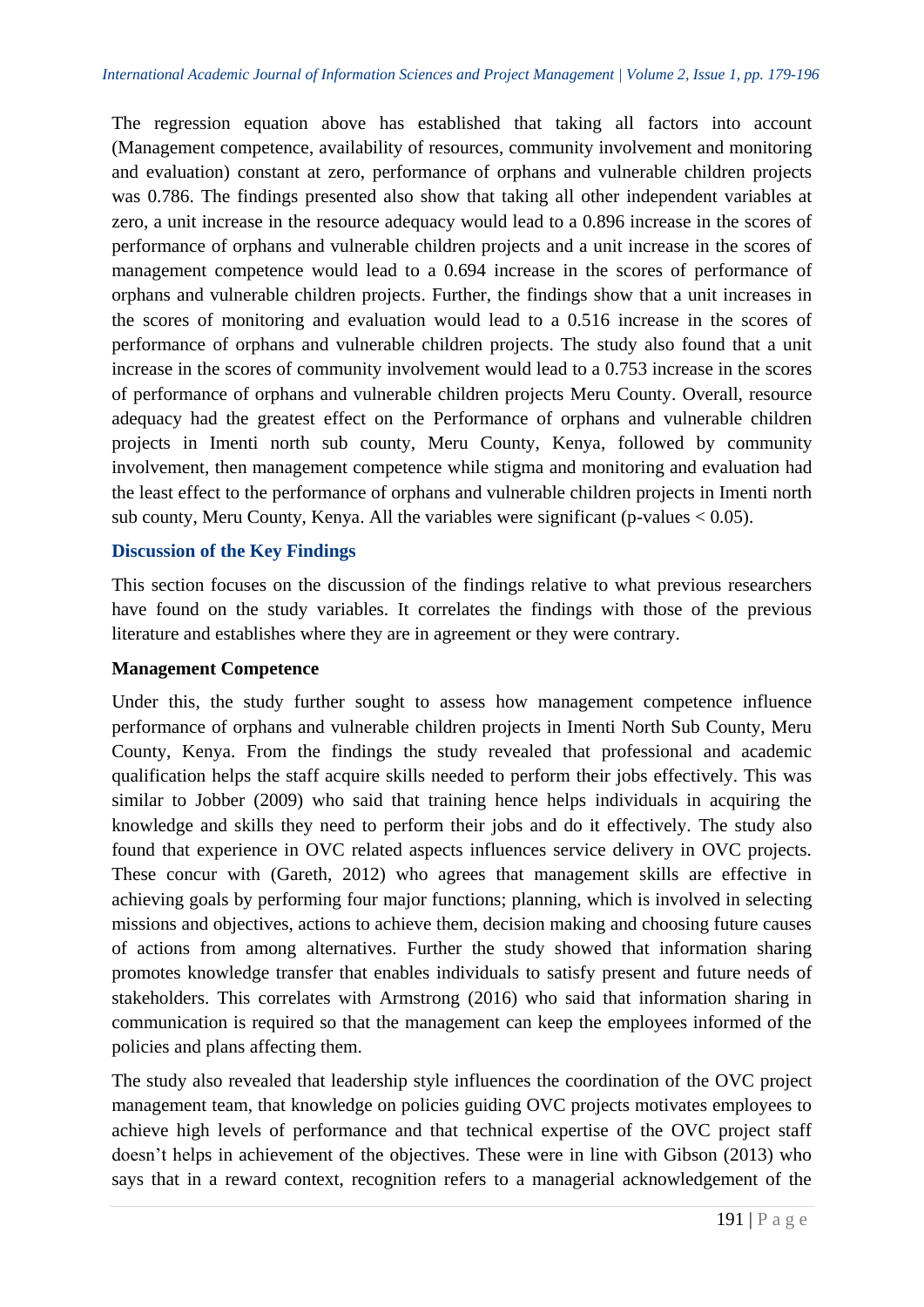The regression equation above has established that taking all factors into account (Management competence, availability of resources, community involvement and monitoring and evaluation) constant at zero, performance of orphans and vulnerable children projects was 0.786. The findings presented also show that taking all other independent variables at zero, a unit increase in the resource adequacy would lead to a 0.896 increase in the scores of performance of orphans and vulnerable children projects and a unit increase in the scores of management competence would lead to a 0.694 increase in the scores of performance of orphans and vulnerable children projects. Further, the findings show that a unit increases in the scores of monitoring and evaluation would lead to a 0.516 increase in the scores of performance of orphans and vulnerable children projects. The study also found that a unit increase in the scores of community involvement would lead to a 0.753 increase in the scores of performance of orphans and vulnerable children projects Meru County. Overall, resource adequacy had the greatest effect on the Performance of orphans and vulnerable children projects in Imenti north sub county, Meru County, Kenya, followed by community involvement, then management competence while stigma and monitoring and evaluation had the least effect to the performance of orphans and vulnerable children projects in Imenti north sub county, Meru County, Kenya. All the variables were significant (p-values < 0.05).

# **Discussion of the Key Findings**

This section focuses on the discussion of the findings relative to what previous researchers have found on the study variables. It correlates the findings with those of the previous literature and establishes where they are in agreement or they were contrary.

## **Management Competence**

Under this, the study further sought to assess how management competence influence performance of orphans and vulnerable children projects in Imenti North Sub County, Meru County, Kenya. From the findings the study revealed that professional and academic qualification helps the staff acquire skills needed to perform their jobs effectively. This was similar to Jobber (2009) who said that training hence helps individuals in acquiring the knowledge and skills they need to perform their jobs and do it effectively. The study also found that experience in OVC related aspects influences service delivery in OVC projects. These concur with (Gareth, 2012) who agrees that management skills are effective in achieving goals by performing four major functions; planning, which is involved in selecting missions and objectives, actions to achieve them, decision making and choosing future causes of actions from among alternatives. Further the study showed that information sharing promotes knowledge transfer that enables individuals to satisfy present and future needs of stakeholders. This correlates with Armstrong (2016) who said that information sharing in communication is required so that the management can keep the employees informed of the policies and plans affecting them.

The study also revealed that leadership style influences the coordination of the OVC project management team, that knowledge on policies guiding OVC projects motivates employees to achieve high levels of performance and that technical expertise of the OVC project staff doesn't helps in achievement of the objectives. These were in line with Gibson (2013) who says that in a reward context, recognition refers to a managerial acknowledgement of the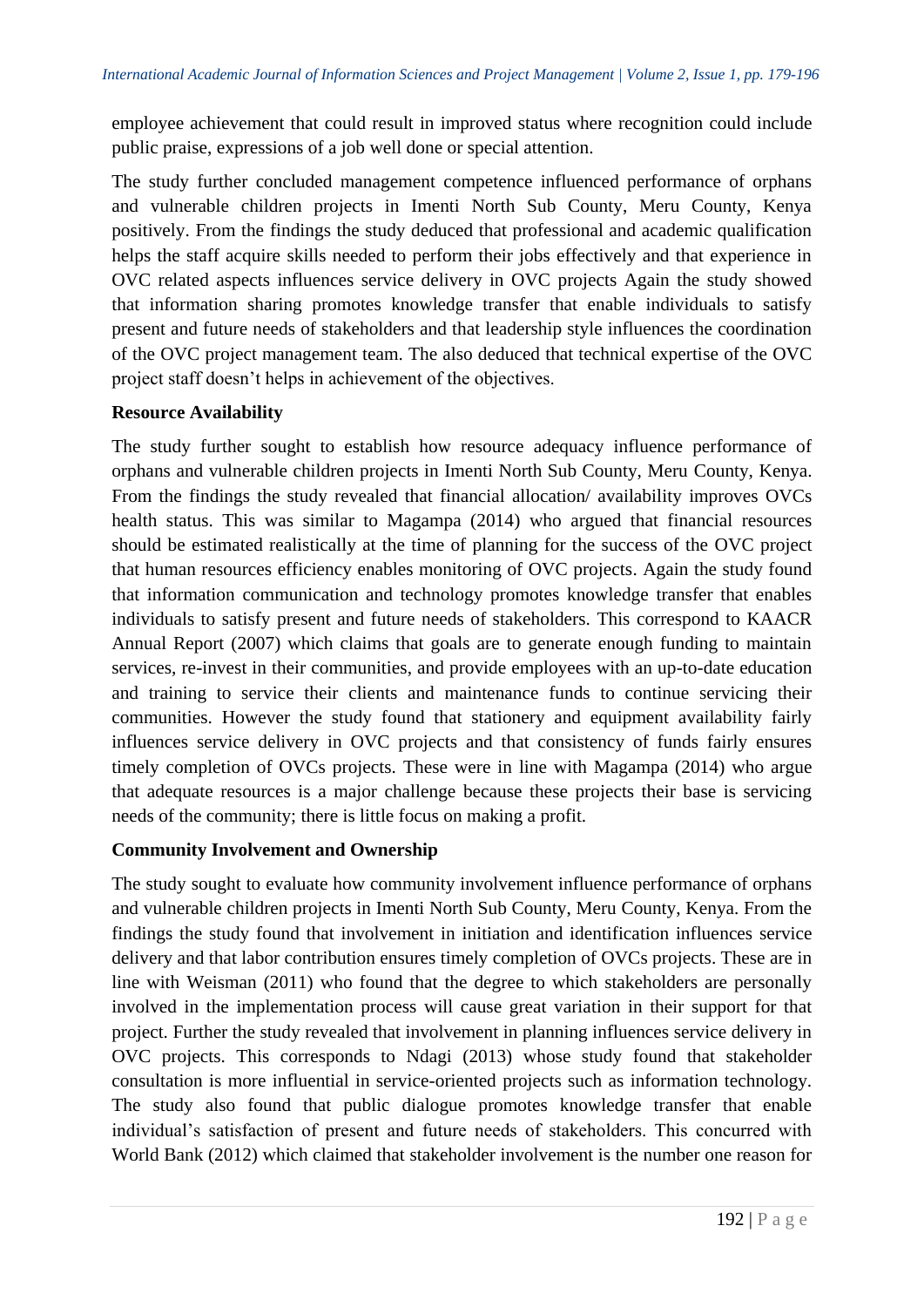employee achievement that could result in improved status where recognition could include public praise, expressions of a job well done or special attention.

The study further concluded management competence influenced performance of orphans and vulnerable children projects in Imenti North Sub County, Meru County, Kenya positively. From the findings the study deduced that professional and academic qualification helps the staff acquire skills needed to perform their jobs effectively and that experience in OVC related aspects influences service delivery in OVC projects Again the study showed that information sharing promotes knowledge transfer that enable individuals to satisfy present and future needs of stakeholders and that leadership style influences the coordination of the OVC project management team. The also deduced that technical expertise of the OVC project staff doesn't helps in achievement of the objectives.

# **Resource Availability**

The study further sought to establish how resource adequacy influence performance of orphans and vulnerable children projects in Imenti North Sub County, Meru County, Kenya. From the findings the study revealed that financial allocation/ availability improves OVCs health status. This was similar to Magampa (2014) who argued that financial resources should be estimated realistically at the time of planning for the success of the OVC project that human resources efficiency enables monitoring of OVC projects. Again the study found that information communication and technology promotes knowledge transfer that enables individuals to satisfy present and future needs of stakeholders. This correspond to KAACR Annual Report (2007) which claims that goals are to generate enough funding to maintain services, re-invest in their communities, and provide employees with an up-to-date education and training to service their clients and maintenance funds to continue servicing their communities. However the study found that stationery and equipment availability fairly influences service delivery in OVC projects and that consistency of funds fairly ensures timely completion of OVCs projects. These were in line with Magampa (2014) who argue that adequate resources is a major challenge because these projects their base is servicing needs of the community; there is little focus on making a profit.

# **Community Involvement and Ownership**

The study sought to evaluate how community involvement influence performance of orphans and vulnerable children projects in Imenti North Sub County, Meru County, Kenya. From the findings the study found that involvement in initiation and identification influences service delivery and that labor contribution ensures timely completion of OVCs projects. These are in line with Weisman (2011) who found that the degree to which stakeholders are personally involved in the implementation process will cause great variation in their support for that project. Further the study revealed that involvement in planning influences service delivery in OVC projects. This corresponds to Ndagi (2013) whose study found that stakeholder consultation is more influential in service-oriented projects such as information technology. The study also found that public dialogue promotes knowledge transfer that enable individual's satisfaction of present and future needs of stakeholders. This concurred with World Bank (2012) which claimed that stakeholder involvement is the number one reason for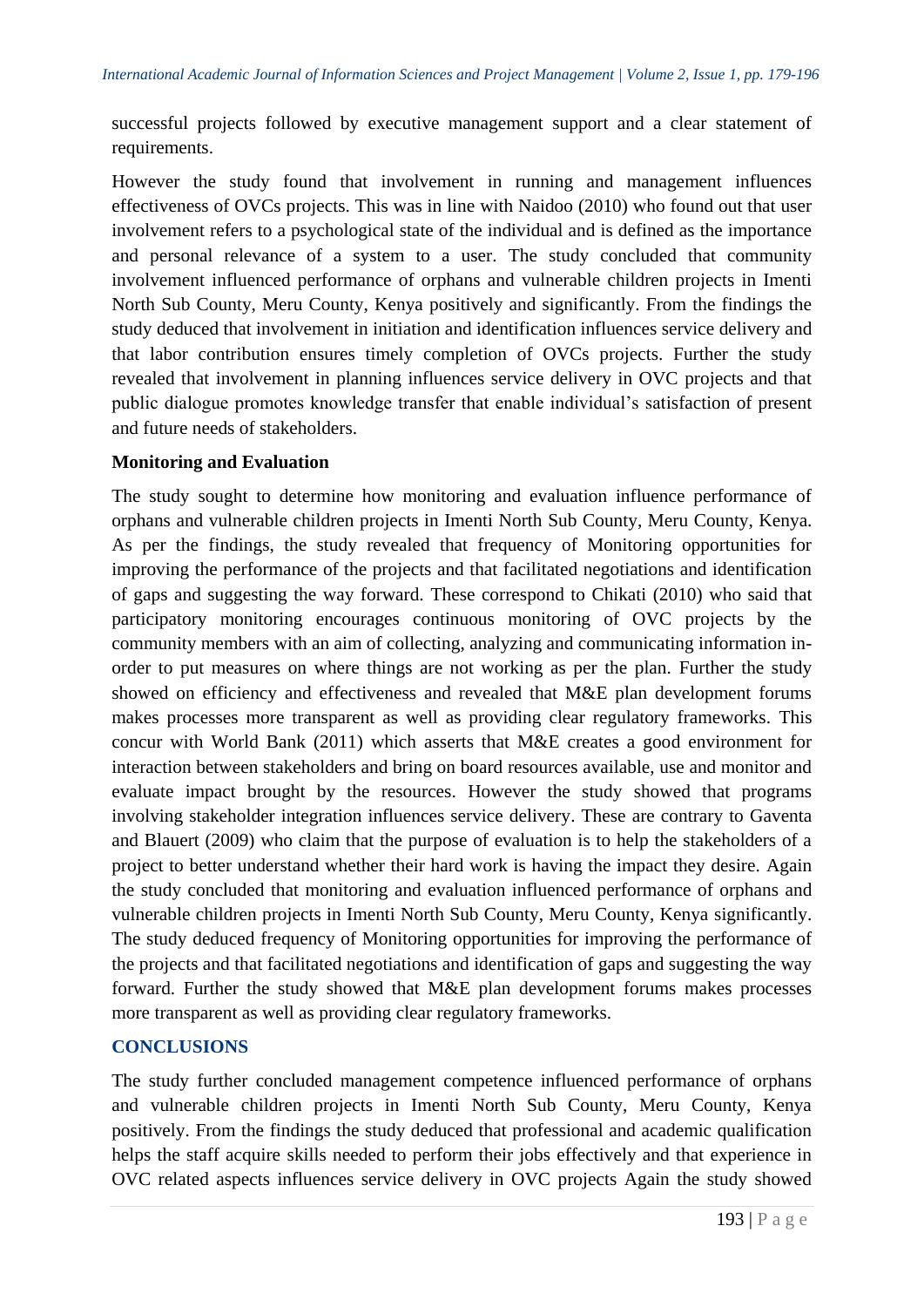successful projects followed by executive management support and a clear statement of requirements.

However the study found that involvement in running and management influences effectiveness of OVCs projects. This was in line with Naidoo (2010) who found out that user involvement refers to a psychological state of the individual and is defined as the importance and personal relevance of a system to a user. The study concluded that community involvement influenced performance of orphans and vulnerable children projects in Imenti North Sub County, Meru County, Kenya positively and significantly. From the findings the study deduced that involvement in initiation and identification influences service delivery and that labor contribution ensures timely completion of OVCs projects. Further the study revealed that involvement in planning influences service delivery in OVC projects and that public dialogue promotes knowledge transfer that enable individual's satisfaction of present and future needs of stakeholders.

# **Monitoring and Evaluation**

The study sought to determine how monitoring and evaluation influence performance of orphans and vulnerable children projects in Imenti North Sub County, Meru County, Kenya. As per the findings, the study revealed that frequency of Monitoring opportunities for improving the performance of the projects and that facilitated negotiations and identification of gaps and suggesting the way forward. These correspond to Chikati (2010) who said that participatory monitoring encourages continuous monitoring of OVC projects by the community members with an aim of collecting, analyzing and communicating information inorder to put measures on where things are not working as per the plan. Further the study showed on efficiency and effectiveness and revealed that M&E plan development forums makes processes more transparent as well as providing clear regulatory frameworks. This concur with World Bank (2011) which asserts that M&E creates a good environment for interaction between stakeholders and bring on board resources available, use and monitor and evaluate impact brought by the resources. However the study showed that programs involving stakeholder integration influences service delivery. These are contrary to Gaventa and Blauert (2009) who claim that the purpose of evaluation is to help the stakeholders of a project to better understand whether their hard work is having the impact they desire. Again the study concluded that monitoring and evaluation influenced performance of orphans and vulnerable children projects in Imenti North Sub County, Meru County, Kenya significantly. The study deduced frequency of Monitoring opportunities for improving the performance of the projects and that facilitated negotiations and identification of gaps and suggesting the way forward. Further the study showed that M&E plan development forums makes processes more transparent as well as providing clear regulatory frameworks.

# **CONCLUSIONS**

The study further concluded management competence influenced performance of orphans and vulnerable children projects in Imenti North Sub County, Meru County, Kenya positively. From the findings the study deduced that professional and academic qualification helps the staff acquire skills needed to perform their jobs effectively and that experience in OVC related aspects influences service delivery in OVC projects Again the study showed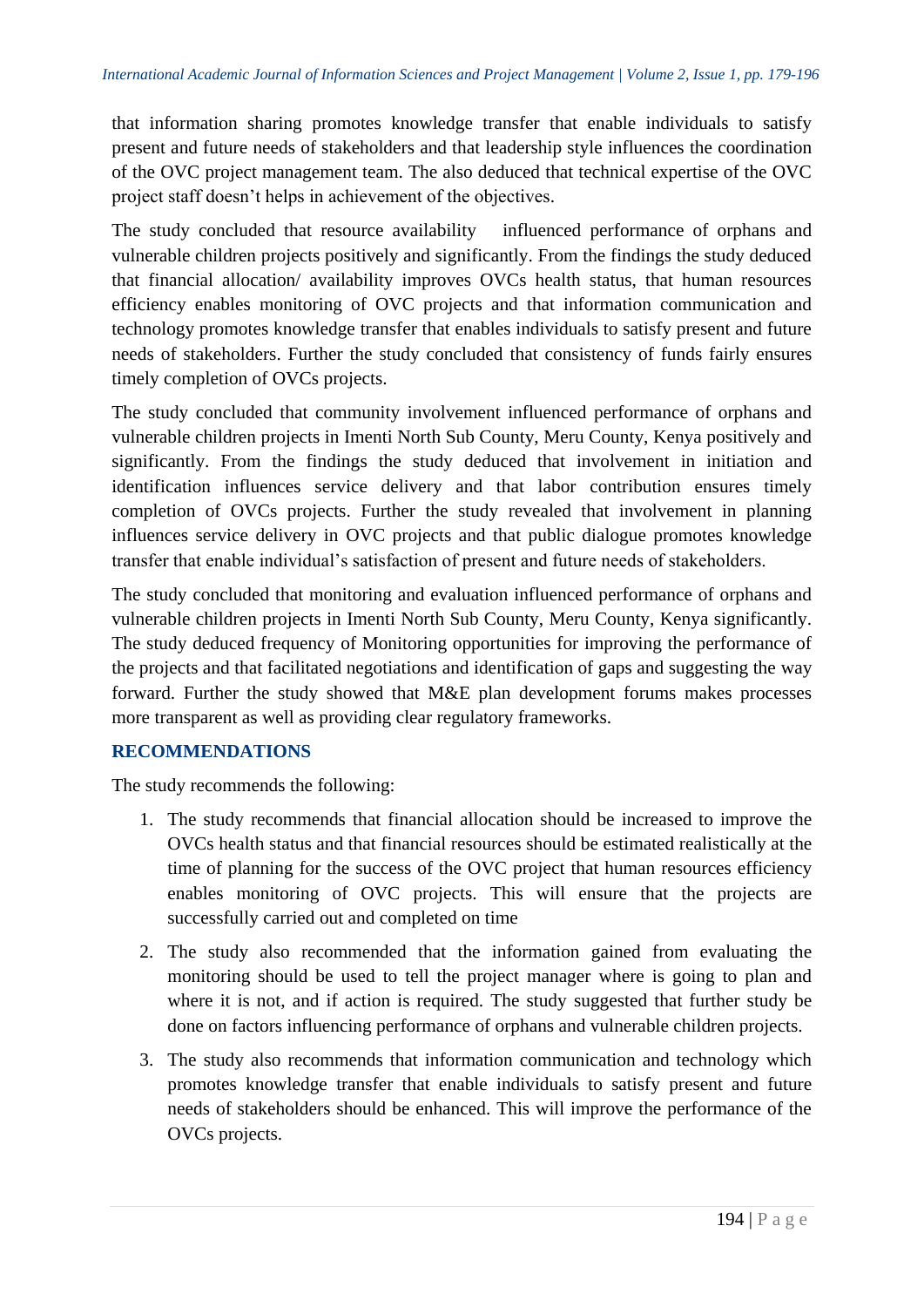that information sharing promotes knowledge transfer that enable individuals to satisfy present and future needs of stakeholders and that leadership style influences the coordination of the OVC project management team. The also deduced that technical expertise of the OVC project staff doesn't helps in achievement of the objectives.

The study concluded that resource availability influenced performance of orphans and vulnerable children projects positively and significantly. From the findings the study deduced that financial allocation/ availability improves OVCs health status, that human resources efficiency enables monitoring of OVC projects and that information communication and technology promotes knowledge transfer that enables individuals to satisfy present and future needs of stakeholders. Further the study concluded that consistency of funds fairly ensures timely completion of OVCs projects.

The study concluded that community involvement influenced performance of orphans and vulnerable children projects in Imenti North Sub County, Meru County, Kenya positively and significantly. From the findings the study deduced that involvement in initiation and identification influences service delivery and that labor contribution ensures timely completion of OVCs projects. Further the study revealed that involvement in planning influences service delivery in OVC projects and that public dialogue promotes knowledge transfer that enable individual's satisfaction of present and future needs of stakeholders.

The study concluded that monitoring and evaluation influenced performance of orphans and vulnerable children projects in Imenti North Sub County, Meru County, Kenya significantly. The study deduced frequency of Monitoring opportunities for improving the performance of the projects and that facilitated negotiations and identification of gaps and suggesting the way forward. Further the study showed that M&E plan development forums makes processes more transparent as well as providing clear regulatory frameworks.

# **RECOMMENDATIONS**

The study recommends the following:

- 1. The study recommends that financial allocation should be increased to improve the OVCs health status and that financial resources should be estimated realistically at the time of planning for the success of the OVC project that human resources efficiency enables monitoring of OVC projects. This will ensure that the projects are successfully carried out and completed on time
- 2. The study also recommended that the information gained from evaluating the monitoring should be used to tell the project manager where is going to plan and where it is not, and if action is required. The study suggested that further study be done on factors influencing performance of orphans and vulnerable children projects.
- 3. The study also recommends that information communication and technology which promotes knowledge transfer that enable individuals to satisfy present and future needs of stakeholders should be enhanced. This will improve the performance of the OVCs projects.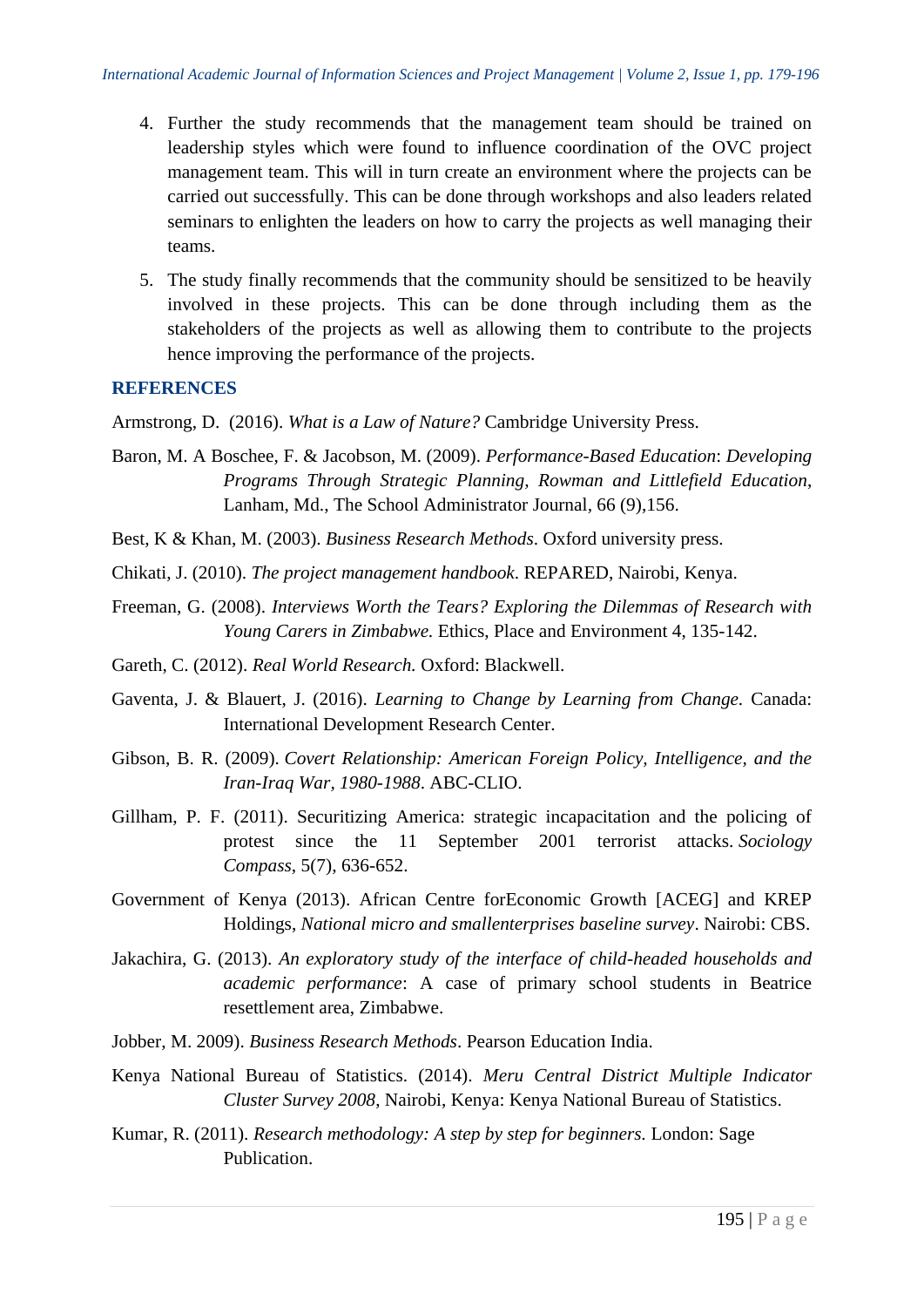- 4. Further the study recommends that the management team should be trained on leadership styles which were found to influence coordination of the OVC project management team. This will in turn create an environment where the projects can be carried out successfully. This can be done through workshops and also leaders related seminars to enlighten the leaders on how to carry the projects as well managing their teams.
- 5. The study finally recommends that the community should be sensitized to be heavily involved in these projects. This can be done through including them as the stakeholders of the projects as well as allowing them to contribute to the projects hence improving the performance of the projects.

## **REFERENCES**

Armstrong, D. (2016). *What is a Law of Nature?* Cambridge University Press.

- Baron, M. A Boschee, F. & Jacobson, M. (2009). *Performance-Based Education*: *Developing Programs Through Strategic Planning, Rowman and Littlefield Education*, Lanham, Md., The School Administrator Journal*,* 66 (9),156.
- Best, K & Khan, M. (2003). *Business Research Methods*. Oxford university press.
- Chikati, J. (2010). *The project management handbook*. REPARED, Nairobi, Kenya.
- Freeman, G. (2008). *Interviews Worth the Tears? Exploring the Dilemmas of Research with Young Carers in Zimbabwe.* Ethics, Place and Environment 4, 135-142.
- Gareth, C. (2012). *Real World Research.* Oxford: Blackwell.
- Gaventa, J. & Blauert, J. (2016). *Learning to Change by Learning from Change.* Canada: International Development Research Center.
- Gibson, B. R. (2009). *Covert Relationship: American Foreign Policy, Intelligence, and the Iran-Iraq War, 1980-1988*. ABC-CLIO.
- Gillham, P. F. (2011). Securitizing America: strategic incapacitation and the policing of protest since the 11 September 2001 terrorist attacks. *Sociology Compass*, 5(7), 636-652.
- Government of Kenya (2013). African Centre forEconomic Growth [ACEG] and KREP Holdings, *National micro and smallenterprises baseline survey*. Nairobi: CBS.
- Jakachira, G. (2013). *An exploratory study of the interface of child-headed households and academic performance*: A case of primary school students in Beatrice resettlement area, Zimbabwe.
- Jobber, M. 2009). *Business Research Methods*. Pearson Education India.
- Kenya National Bureau of Statistics. (2014). *Meru Central District Multiple Indicator Cluster Survey 2008*, Nairobi, Kenya: Kenya National Bureau of Statistics.
- Kumar, R. (2011). *Research methodology: A step by step for beginners.* London: Sage Publication.